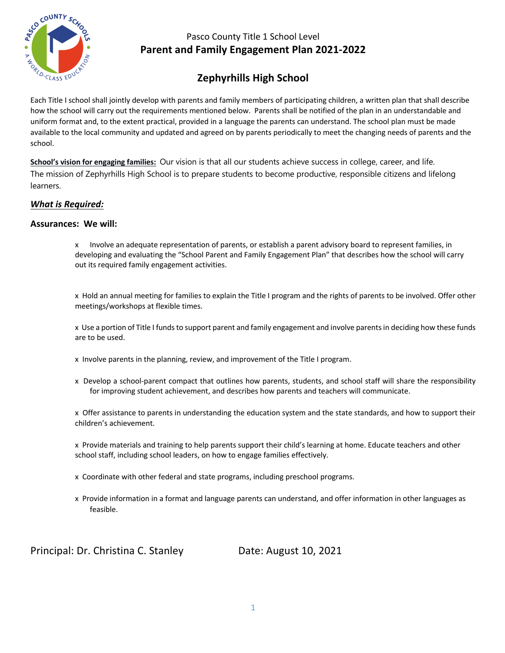

# **Zephyrhills High School**

Each Title I school shall jointly develop with parents and family members of participating children, a written plan that shall describe how the school will carry out the requirements mentioned below. Parents shall be notified of the plan in an understandable and uniform format and, to the extent practical, provided in a language the parents can understand. The school plan must be made available to the local community and updated and agreed on by parents periodically to meet the changing needs of parents and the school.

**School's vision for engaging families:** Our vision is that all our students achieve success in college, career, and life. The mission of Zephyrhills High School is to prepare students to become productive, responsible citizens and lifelong learners.

#### *What is Required:*

#### **Assurances: We will:**

x Involve an adequate representation of parents, or establish a parent advisory board to represent families, in developing and evaluating the "School Parent and Family Engagement Plan" that describes how the school will carry out its required family engagement activities.

x Hold an annual meeting for families to explain the Title I program and the rights of parents to be involved. Offer other meetings/workshops at flexible times.

x Use a portion of Title I funds to support parent and family engagement and involve parents in deciding how these funds are to be used.

x Involve parents in the planning, review, and improvement of the Title I program.

x Develop a school-parent compact that outlines how parents, students, and school staff will share the responsibility for improving student achievement, and describes how parents and teachers will communicate.

x Offer assistance to parents in understanding the education system and the state standards, and how to support their children's achievement.

x Provide materials and training to help parents support their child's learning at home. Educate teachers and other school staff, including school leaders, on how to engage families effectively.

- x Coordinate with other federal and state programs, including preschool programs.
- x Provide information in a format and language parents can understand, and offer information in other languages as feasible.

Principal: Dr. Christina C. Stanley Date: August 10, 2021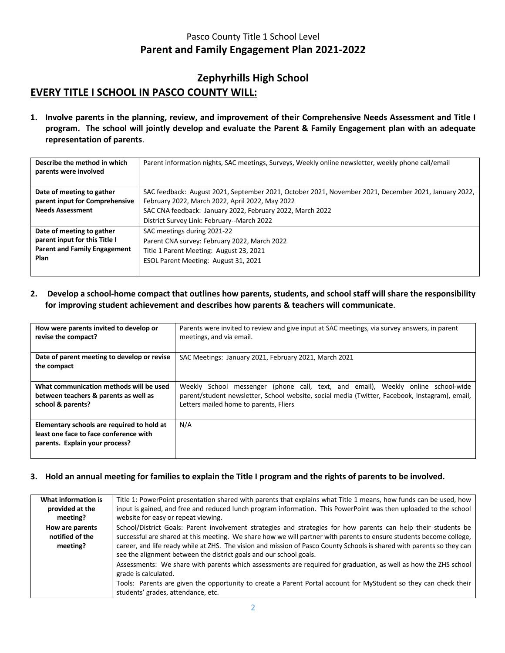# **Zephyrhills High School EVERY TITLE I SCHOOL IN PASCO COUNTY WILL:**

**1. Involve parents in the planning, review, and improvement of their Comprehensive Needs Assessment and Title I program. The school will jointly develop and evaluate the Parent & Family Engagement plan with an adequate representation of parents**.

| Describe the method in which<br>parents were involved | Parent information nights, SAC meetings, Surveys, Weekly online newsletter, weekly phone call/email  |
|-------------------------------------------------------|------------------------------------------------------------------------------------------------------|
| Date of meeting to gather                             | SAC feedback: August 2021, September 2021, October 2021, November 2021, December 2021, January 2022, |
| parent input for Comprehensive                        | February 2022, March 2022, April 2022, May 2022                                                      |
| <b>Needs Assessment</b>                               | SAC CNA feedback: January 2022, February 2022, March 2022                                            |
|                                                       | District Survey Link: February--March 2022                                                           |
| Date of meeting to gather                             | SAC meetings during 2021-22                                                                          |
| parent input for this Title I                         | Parent CNA survey: February 2022, March 2022                                                         |
| <b>Parent and Family Engagement</b>                   | Title 1 Parent Meeting: August 23, 2021                                                              |
| Plan                                                  | ESOL Parent Meeting: August 31, 2021                                                                 |
|                                                       |                                                                                                      |

**2. Develop a school-home compact that outlines how parents, students, and school staff will share the responsibility for improving student achievement and describes how parents & teachers will communicate**.

| How were parents invited to develop or                                                                                 | Parents were invited to review and give input at SAC meetings, via survey answers, in parent   |
|------------------------------------------------------------------------------------------------------------------------|------------------------------------------------------------------------------------------------|
| revise the compact?                                                                                                    | meetings, and via email.                                                                       |
| Date of parent meeting to develop or revise<br>the compact                                                             | SAC Meetings: January 2021, February 2021, March 2021                                          |
| What communication methods will be used                                                                                | Weekly School messenger (phone call, text, and email), Weekly online school-wide               |
| between teachers & parents as well as                                                                                  | parent/student newsletter, School website, social media (Twitter, Facebook, Instagram), email, |
| school & parents?                                                                                                      | Letters mailed home to parents, Fliers                                                         |
| Elementary schools are required to hold at<br>least one face to face conference with<br>parents. Explain your process? | N/A                                                                                            |

#### **3. Hold an annual meeting for families to explain the Title I program and the rights of parents to be involved.**

| What information is                            | Title 1: PowerPoint presentation shared with parents that explains what Title 1 means, how funds can be used, how                                                                                                                                                                                                                                                                                                                     |
|------------------------------------------------|---------------------------------------------------------------------------------------------------------------------------------------------------------------------------------------------------------------------------------------------------------------------------------------------------------------------------------------------------------------------------------------------------------------------------------------|
| provided at the                                | input is gained, and free and reduced lunch program information. This PowerPoint was then uploaded to the school                                                                                                                                                                                                                                                                                                                      |
| meeting?                                       | website for easy or repeat viewing.                                                                                                                                                                                                                                                                                                                                                                                                   |
| How are parents<br>notified of the<br>meeting? | School/District Goals: Parent involvement strategies and strategies for how parents can help their students be<br>successful are shared at this meeting. We share how we will partner with parents to ensure students become college,<br>career, and life ready while at ZHS. The vision and mission of Pasco County Schools is shared with parents so they can<br>see the alignment between the district goals and our school goals. |
|                                                | Assessments: We share with parents which assessments are required for graduation, as well as how the ZHS school<br>grade is calculated.<br>Tools: Parents are given the opportunity to create a Parent Portal account for MyStudent so they can check their                                                                                                                                                                           |
|                                                | students' grades, attendance, etc.                                                                                                                                                                                                                                                                                                                                                                                                    |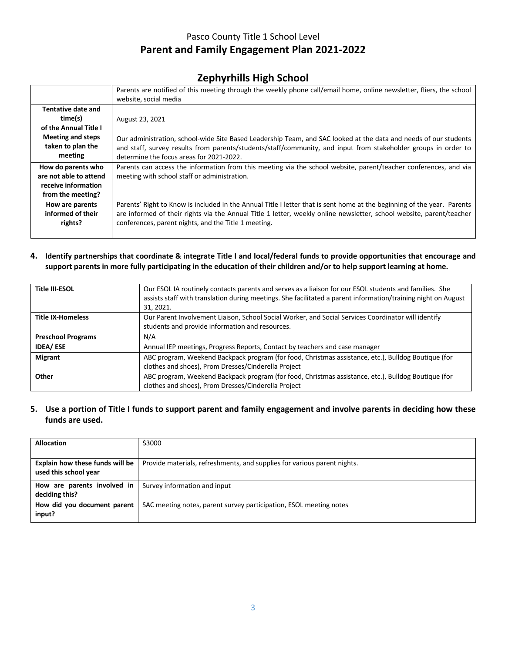### **Zephyrhills High School**

|                                                                                                                           | Parents are notified of this meeting through the weekly phone call/email home, online newsletter, fliers, the school<br>website, social media                                                                                                                                                           |
|---------------------------------------------------------------------------------------------------------------------------|---------------------------------------------------------------------------------------------------------------------------------------------------------------------------------------------------------------------------------------------------------------------------------------------------------|
| <b>Tentative date and</b><br>time(s)<br>of the Annual Title I<br><b>Meeting and steps</b><br>taken to plan the<br>meeting | August 23, 2021<br>Our administration, school-wide Site Based Leadership Team, and SAC looked at the data and needs of our students<br>and staff, survey results from parents/students/staff/community, and input from stakeholder groups in order to<br>determine the focus areas for 2021-2022.       |
| How do parents who<br>are not able to attend<br>receive information<br>from the meeting?                                  | Parents can access the information from this meeting via the school website, parent/teacher conferences, and via<br>meeting with school staff or administration.                                                                                                                                        |
| How are parents<br>informed of their<br>rights?                                                                           | Parents' Right to Know is included in the Annual Title I letter that is sent home at the beginning of the year. Parents<br>are informed of their rights via the Annual Title 1 letter, weekly online newsletter, school website, parent/teacher<br>conferences, parent nights, and the Title 1 meeting. |

**4. Identify partnerships that coordinate & integrate Title I and local/federal funds to provide opportunities that encourage and support parents in more fully participating in the education of their children and/or to help support learning at home.**

| <b>Title III-ESOL</b>     | Our ESOL IA routinely contacts parents and serves as a liaison for our ESOL students and families. She<br>assists staff with translation during meetings. She facilitated a parent information/training night on August<br>31, 2021. |
|---------------------------|--------------------------------------------------------------------------------------------------------------------------------------------------------------------------------------------------------------------------------------|
| <b>Title IX-Homeless</b>  | Our Parent Involvement Liaison, School Social Worker, and Social Services Coordinator will identify                                                                                                                                  |
|                           | students and provide information and resources.                                                                                                                                                                                      |
| <b>Preschool Programs</b> | N/A                                                                                                                                                                                                                                  |
| <b>IDEA/ESE</b>           | Annual IEP meetings, Progress Reports, Contact by teachers and case manager                                                                                                                                                          |
| <b>Migrant</b>            | ABC program, Weekend Backpack program (for food, Christmas assistance, etc.), Bulldog Boutique (for                                                                                                                                  |
|                           | clothes and shoes), Prom Dresses/Cinderella Project                                                                                                                                                                                  |
| Other                     | ABC program, Weekend Backpack program (for food, Christmas assistance, etc.), Bulldog Boutique (for                                                                                                                                  |
|                           | clothes and shoes), Prom Dresses/Cinderella Project                                                                                                                                                                                  |

**5. Use a portion of Title I funds to support parent and family engagement and involve parents in deciding how these funds are used.**

| <b>Allocation</b>                                        | \$3000                                                                   |
|----------------------------------------------------------|--------------------------------------------------------------------------|
| Explain how these funds will be<br>used this school year | Provide materials, refreshments, and supplies for various parent nights. |
| How are parents involved in<br>deciding this?            | Survey information and input                                             |
| How did you document parent<br>input?                    | SAC meeting notes, parent survey participation, ESOL meeting notes       |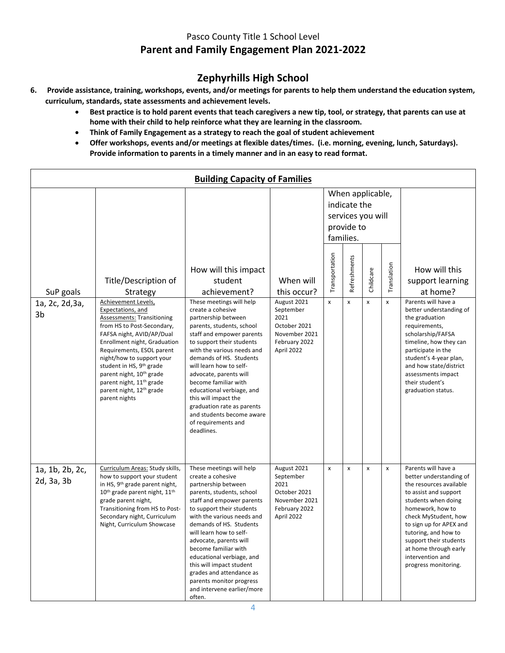# **Zephyrhills High School**

- **6. Provide assistance, training, workshops, events, and/or meetings for parents to help them understand the education system, curriculum, standards, state assessments and achievement levels.**
	- **Best practice is to hold parent events that teach caregivers a new tip, tool, or strategy, that parents can use at home with their child to help reinforce what they are learning in the classroom.**
	- **Think of Family Engagement as a strategy to reach the goal of student achievement**
	- **Offer workshops, events and/or meetings at flexible dates/times. (i.e. morning, evening, lunch, Saturdays). Provide information to parents in a timely manner and in an easy to read format.**

|                               |                                                                                                                                                                                                                                                                                                                                                                                                                     | <b>Building Capacity of Families</b>                                                                                                                                                                                                                                                                                                                                                                                                                       |                                                                                                  |                    |                                         |                                       |             |                                                                                                                                                                                                                                                                                                                         |
|-------------------------------|---------------------------------------------------------------------------------------------------------------------------------------------------------------------------------------------------------------------------------------------------------------------------------------------------------------------------------------------------------------------------------------------------------------------|------------------------------------------------------------------------------------------------------------------------------------------------------------------------------------------------------------------------------------------------------------------------------------------------------------------------------------------------------------------------------------------------------------------------------------------------------------|--------------------------------------------------------------------------------------------------|--------------------|-----------------------------------------|---------------------------------------|-------------|-------------------------------------------------------------------------------------------------------------------------------------------------------------------------------------------------------------------------------------------------------------------------------------------------------------------------|
|                               |                                                                                                                                                                                                                                                                                                                                                                                                                     |                                                                                                                                                                                                                                                                                                                                                                                                                                                            |                                                                                                  |                    | indicate the<br>provide to<br>families. | When applicable,<br>services you will |             |                                                                                                                                                                                                                                                                                                                         |
| SuP goals                     | Title/Description of<br>Strategy                                                                                                                                                                                                                                                                                                                                                                                    | How will this impact<br>student<br>achievement?                                                                                                                                                                                                                                                                                                                                                                                                            | When will<br>this occur?                                                                         | Transportation     | Refreshments                            | Childcare                             | Translation | How will this<br>support learning<br>at home?                                                                                                                                                                                                                                                                           |
| 1a, 2c, 2d, 3a,<br>3b         | Achievement Levels,<br>Expectations, and<br><b>Assessments: Transitioning</b><br>from HS to Post-Secondary,<br>FAFSA night, AVID/AP/Dual<br>Enrollment night, Graduation<br>Requirements, ESOL parent<br>night/how to support your<br>student in HS, 9 <sup>th</sup> grade<br>parent night, 10 <sup>th</sup> grade<br>parent night, 11 <sup>th</sup> grade<br>parent night, 12 <sup>th</sup> grade<br>parent nights | These meetings will help<br>create a cohesive<br>partnership between<br>parents, students, school<br>staff and empower parents<br>to support their students<br>with the various needs and<br>demands of HS. Students<br>will learn how to self-<br>advocate, parents will<br>become familiar with<br>educational verbiage, and<br>this will impact the<br>graduation rate as parents<br>and students become aware<br>of requirements and<br>deadlines.     | August 2021<br>September<br>2021<br>October 2021<br>November 2021<br>February 2022<br>April 2022 | $\pmb{\mathsf{x}}$ | x                                       | X                                     | x           | Parents will have a<br>better understanding of<br>the graduation<br>requirements,<br>scholarship/FAFSA<br>timeline, how they can<br>participate in the<br>student's 4-year plan,<br>and how state/district<br>assessments impact<br>their student's<br>graduation status.                                               |
| 1a, 1b, 2b, 2c,<br>2d, 3a, 3b | Curriculum Areas: Study skills,<br>how to support your student<br>in HS, 9 <sup>th</sup> grade parent night,<br>10 <sup>th</sup> grade parent night, 11 <sup>th</sup><br>grade parent night,<br>Transitioning from HS to Post-<br>Secondary night, Curriculum<br>Night, Curriculum Showcase                                                                                                                         | These meetings will help<br>create a cohesive<br>partnership between<br>parents, students, school<br>staff and empower parents<br>to support their students<br>with the various needs and<br>demands of HS. Students<br>will learn how to self-<br>advocate, parents will<br>become familiar with<br>educational verbiage, and<br>this will impact student<br>grades and attendance as<br>parents monitor progress<br>and intervene earlier/more<br>often. | August 2021<br>September<br>2021<br>October 2021<br>November 2021<br>February 2022<br>April 2022 | X                  | X                                       | X                                     | x           | Parents will have a<br>better understanding of<br>the resources available<br>to assist and support<br>students when doing<br>homework, how to<br>check MyStudent, how<br>to sign up for APEX and<br>tutoring, and how to<br>support their students<br>at home through early<br>intervention and<br>progress monitoring. |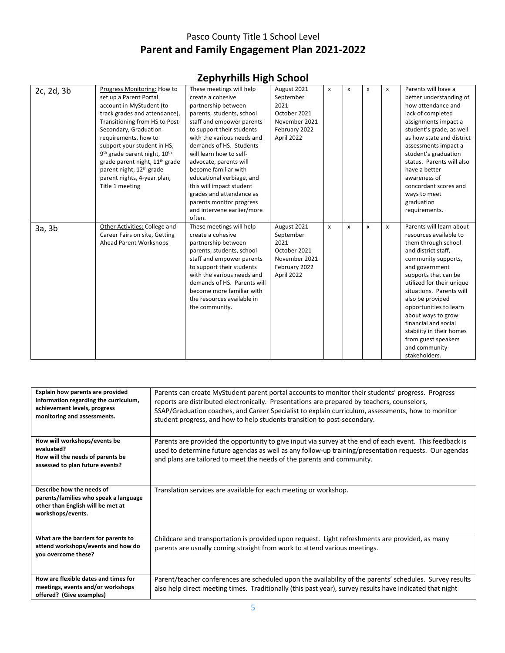| 2c, 2d, 3b | Progress Monitoring: How to                          | These meetings will help    | August 2021   | x | X            | X | x | Parents will have a       |
|------------|------------------------------------------------------|-----------------------------|---------------|---|--------------|---|---|---------------------------|
|            | set up a Parent Portal                               | create a cohesive           | September     |   |              |   |   | better understanding of   |
|            | account in MyStudent (to                             | partnership between         | 2021          |   |              |   |   | how attendance and        |
|            | track grades and attendance),                        | parents, students, school   | October 2021  |   |              |   |   | lack of completed         |
|            | Transitioning from HS to Post-                       | staff and empower parents   | November 2021 |   |              |   |   | assignments impact a      |
|            | Secondary, Graduation                                | to support their students   | February 2022 |   |              |   |   | student's grade, as well  |
|            | requirements, how to                                 | with the various needs and  | April 2022    |   |              |   |   | as how state and district |
|            | support your student in HS,                          | demands of HS. Students     |               |   |              |   |   | assessments impact a      |
|            | 9 <sup>th</sup> grade parent night, 10 <sup>th</sup> | will learn how to self-     |               |   |              |   |   | student's graduation      |
|            | grade parent night, 11 <sup>th</sup> grade           | advocate, parents will      |               |   |              |   |   | status. Parents will also |
|            | parent night, 12 <sup>th</sup> grade                 | become familiar with        |               |   |              |   |   | have a better             |
|            | parent nights, 4-year plan,                          | educational verbiage, and   |               |   |              |   |   | awareness of              |
|            | Title 1 meeting                                      | this will impact student    |               |   |              |   |   | concordant scores and     |
|            |                                                      | grades and attendance as    |               |   |              |   |   | ways to meet              |
|            |                                                      | parents monitor progress    |               |   |              |   |   | graduation                |
|            |                                                      | and intervene earlier/more  |               |   |              |   |   | requirements.             |
|            |                                                      | often.                      |               |   |              |   |   |                           |
| 3a, 3b     | Other Activities: College and                        | These meetings will help    | August 2021   | x | $\mathsf{x}$ | X | x | Parents will learn about  |
|            | Career Fairs on site, Getting                        | create a cohesive           | September     |   |              |   |   | resources available to    |
|            | <b>Ahead Parent Workshops</b>                        | partnership between         | 2021          |   |              |   |   | them through school       |
|            |                                                      | parents, students, school   | October 2021  |   |              |   |   | and district staff,       |
|            |                                                      | staff and empower parents   | November 2021 |   |              |   |   | community supports,       |
|            |                                                      | to support their students   | February 2022 |   |              |   |   | and government            |
|            |                                                      | with the various needs and  | April 2022    |   |              |   |   | supports that can be      |
|            |                                                      | demands of HS. Parents will |               |   |              |   |   | utilized for their unique |
|            |                                                      | become more familiar with   |               |   |              |   |   | situations. Parents will  |
|            |                                                      | the resources available in  |               |   |              |   |   | also be provided          |
|            |                                                      | the community.              |               |   |              |   |   | opportunities to learn    |
|            |                                                      |                             |               |   |              |   |   | about ways to grow        |
|            |                                                      |                             |               |   |              |   |   | financial and social      |
|            |                                                      |                             |               |   |              |   |   | stability in their homes  |
|            |                                                      |                             |               |   |              |   |   | from guest speakers       |
|            |                                                      |                             |               |   |              |   |   | and community             |
|            |                                                      |                             |               |   |              |   |   | stakeholders.             |

| Explain how parents are provided<br>information regarding the curriculum,<br>achievement levels, progress<br>monitoring and assessments. | Parents can create MyStudent parent portal accounts to monitor their students' progress. Progress<br>reports are distributed electronically. Presentations are prepared by teachers, counselors,<br>SSAP/Graduation coaches, and Career Specialist to explain curriculum, assessments, how to monitor<br>student progress, and how to help students transition to post-secondary. |
|------------------------------------------------------------------------------------------------------------------------------------------|-----------------------------------------------------------------------------------------------------------------------------------------------------------------------------------------------------------------------------------------------------------------------------------------------------------------------------------------------------------------------------------|
| How will workshops/events be<br>evaluated?                                                                                               | Parents are provided the opportunity to give input via survey at the end of each event. This feedback is                                                                                                                                                                                                                                                                          |
| How will the needs of parents be                                                                                                         | used to determine future agendas as well as any follow-up training/presentation requests. Our agendas<br>and plans are tailored to meet the needs of the parents and community.                                                                                                                                                                                                   |
| assessed to plan future events?                                                                                                          |                                                                                                                                                                                                                                                                                                                                                                                   |
|                                                                                                                                          |                                                                                                                                                                                                                                                                                                                                                                                   |
| Describe how the needs of                                                                                                                | Translation services are available for each meeting or workshop.                                                                                                                                                                                                                                                                                                                  |
| parents/families who speak a language<br>other than English will be met at<br>workshops/events.                                          |                                                                                                                                                                                                                                                                                                                                                                                   |
|                                                                                                                                          |                                                                                                                                                                                                                                                                                                                                                                                   |
| What are the barriers for parents to                                                                                                     | Childcare and transportation is provided upon request. Light refreshments are provided, as many                                                                                                                                                                                                                                                                                   |
| attend workshops/events and how do<br>you overcome these?                                                                                | parents are usually coming straight from work to attend various meetings.                                                                                                                                                                                                                                                                                                         |
| How are flexible dates and times for                                                                                                     |                                                                                                                                                                                                                                                                                                                                                                                   |
| meetings, events and/or workshops                                                                                                        | Parent/teacher conferences are scheduled upon the availability of the parents' schedules. Survey results<br>also help direct meeting times. Traditionally (this past year), survey results have indicated that night                                                                                                                                                              |
| offered? (Give examples)                                                                                                                 |                                                                                                                                                                                                                                                                                                                                                                                   |